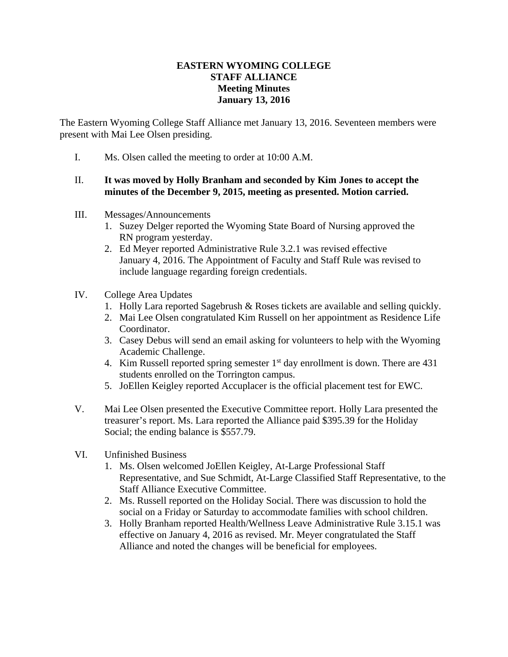## **EASTERN WYOMING COLLEGE STAFF ALLIANCE Meeting Minutes January 13, 2016**

The Eastern Wyoming College Staff Alliance met January 13, 2016. Seventeen members were present with Mai Lee Olsen presiding.

I. Ms. Olsen called the meeting to order at 10:00 A.M.

## II. **It was moved by Holly Branham and seconded by Kim Jones to accept the minutes of the December 9, 2015, meeting as presented. Motion carried.**

- III. Messages/Announcements
	- 1. Suzey Delger reported the Wyoming State Board of Nursing approved the RN program yesterday.
	- 2. Ed Meyer reported Administrative Rule 3.2.1 was revised effective January 4, 2016. The Appointment of Faculty and Staff Rule was revised to include language regarding foreign credentials.
- IV. College Area Updates
	- 1. Holly Lara reported Sagebrush & Roses tickets are available and selling quickly.
	- 2. Mai Lee Olsen congratulated Kim Russell on her appointment as Residence Life Coordinator.
	- 3. Casey Debus will send an email asking for volunteers to help with the Wyoming Academic Challenge.
	- 4. Kim Russell reported spring semester  $1<sup>st</sup>$  day enrollment is down. There are 431 students enrolled on the Torrington campus.
	- 5. JoEllen Keigley reported Accuplacer is the official placement test for EWC.
- V. Mai Lee Olsen presented the Executive Committee report. Holly Lara presented the treasurer's report. Ms. Lara reported the Alliance paid \$395.39 for the Holiday Social; the ending balance is \$557.79.
- VI. Unfinished Business
	- 1. Ms. Olsen welcomed JoEllen Keigley, At-Large Professional Staff Representative, and Sue Schmidt, At-Large Classified Staff Representative, to the Staff Alliance Executive Committee.
	- 2. Ms. Russell reported on the Holiday Social. There was discussion to hold the social on a Friday or Saturday to accommodate families with school children.
	- 3. Holly Branham reported Health/Wellness Leave Administrative Rule 3.15.1 was effective on January 4, 2016 as revised. Mr. Meyer congratulated the Staff Alliance and noted the changes will be beneficial for employees.